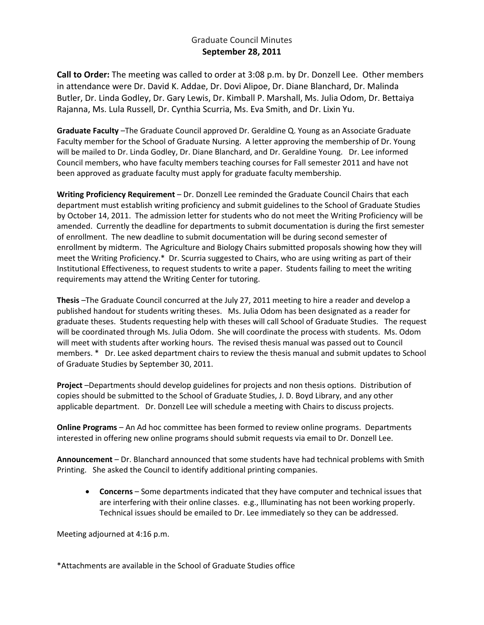## Graduate Council Minutes **September 28, 2011**

**Call to Order:** The meeting was called to order at 3:08 p.m. by Dr. Donzell Lee. Other members in attendance were Dr. David K. Addae, Dr. Dovi Alipoe, Dr. Diane Blanchard, Dr. Malinda Butler, Dr. Linda Godley, Dr. Gary Lewis, Dr. Kimball P. Marshall, Ms. Julia Odom, Dr. Bettaiya Rajanna, Ms. Lula Russell, Dr. Cynthia Scurria, Ms. Eva Smith, and Dr. Lixin Yu.

**Graduate Faculty** –The Graduate Council approved Dr. Geraldine Q. Young as an Associate Graduate Faculty member for the School of Graduate Nursing. A letter approving the membership of Dr. Young will be mailed to Dr. Linda Godley, Dr. Diane Blanchard, and Dr. Geraldine Young. Dr. Lee informed Council members, who have faculty members teaching courses for Fall semester 2011 and have not been approved as graduate faculty must apply for graduate faculty membership.

**Writing Proficiency Requirement** – Dr. Donzell Lee reminded the Graduate Council Chairs that each department must establish writing proficiency and submit guidelines to the School of Graduate Studies by October 14, 2011. The admission letter for students who do not meet the Writing Proficiency will be amended. Currently the deadline for departments to submit documentation is during the first semester of enrollment. The new deadline to submit documentation will be during second semester of enrollment by midterm. The Agriculture and Biology Chairs submitted proposals showing how they will meet the Writing Proficiency.\* Dr. Scurria suggested to Chairs, who are using writing as part of their Institutional Effectiveness, to request students to write a paper. Students failing to meet the writing requirements may attend the Writing Center for tutoring.

**Thesis** –The Graduate Council concurred at the July 27, 2011 meeting to hire a reader and develop a published handout for students writing theses. Ms. Julia Odom has been designated as a reader for graduate theses. Students requesting help with theses will call School of Graduate Studies. The request will be coordinated through Ms. Julia Odom. She will coordinate the process with students. Ms. Odom will meet with students after working hours. The revised thesis manual was passed out to Council members. \* Dr. Lee asked department chairs to review the thesis manual and submit updates to School of Graduate Studies by September 30, 2011.

**Project** –Departments should develop guidelines for projects and non thesis options. Distribution of copies should be submitted to the School of Graduate Studies, J. D. Boyd Library, and any other applicable department. Dr. Donzell Lee will schedule a meeting with Chairs to discuss projects.

**Online Programs** – An Ad hoc committee has been formed to review online programs. Departments interested in offering new online programs should submit requests via email to Dr. Donzell Lee.

**Announcement** – Dr. Blanchard announced that some students have had technical problems with Smith Printing. She asked the Council to identify additional printing companies.

• **Concerns** – Some departments indicated that they have computer and technical issues that are interfering with their online classes. e.g., Illuminating has not been working properly. Technical issues should be emailed to Dr. Lee immediately so they can be addressed.

Meeting adjourned at 4:16 p.m.

\*Attachments are available in the School of Graduate Studies office